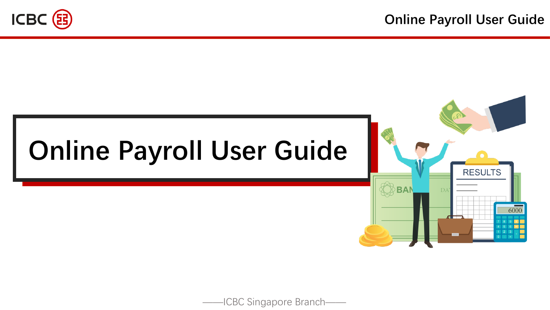

# **Online Payroll User Guide**



ICBC Singapore Branch-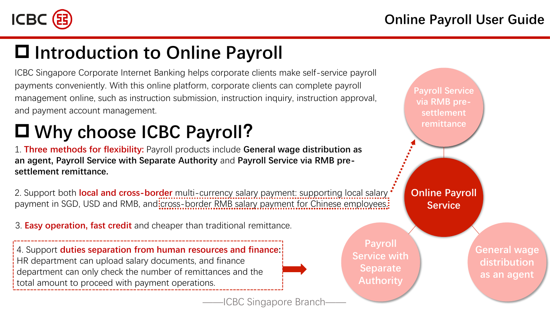

**Payroll Service via RMB presettlement remittance**

**Online Payroll** 

**Service**

### **Introduction to Online Payroll**

ICBC Singapore Corporate Internet Banking helps corporate clients make self-service payroll payments conveniently. With this online platform, corporate clients can complete payroll management online, such as instruction submission, instruction inquiry, instruction approval, and payment account management.

## **Why choose ICBC Payroll?**

1. **Three methods for flexibility:** Payroll products include **General wage distribution as an agent, Payroll Service with Separate Authority** and **Payroll Service via RMB presettlement remittance.**

2. Support both **local and cross-border** multi-currency salary payment: supporting local salary payment in SGD, USD and RMB, and cross-border RMB salary payment for Chinese employees.

-ICBC Singapore Branch-

3. **Easy operation, fast credit** and cheaper than traditional remittance.

4. Support **duties separation from human resources and finance:** HR department can upload salary documents, and finance department can only check the number of remittances and the total amount to proceed with payment operations.

**Payroll Service with Separate Authority**

**General wage distribution as an agent**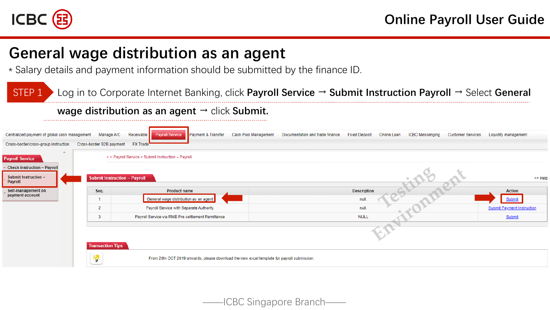

|                                                                                       |                          | wage distribution as an agent $\rightarrow$ click Submit.                                             |                                                                                           |                      |                                       |                          |                                   |
|---------------------------------------------------------------------------------------|--------------------------|-------------------------------------------------------------------------------------------------------|-------------------------------------------------------------------------------------------|----------------------|---------------------------------------|--------------------------|-----------------------------------|
| Centralized payment of global cash management<br>Cross-border/cross-group instruction | Cross-border B2B payment | <b>Payment &amp; Transfer</b><br>Manage A/C<br>Receivable<br><b>Payroll Service</b><br><b>FX Trad</b> | Cash Pool Management<br>Documentation and trade finance                                   | <b>Fixed Deposit</b> | <b>ICBC Messenging</b><br>Online Loan | <b>Customer Services</b> | Liquidity management              |
| <b>Payroll Service</b>                                                                |                          | >> Payroll Service > Submit Instruction - Payroll                                                     |                                                                                           |                      |                                       |                          |                                   |
| <b>Check Instruction - Payroll</b><br>Submit Instruction -<br><b>Payroll</b>          |                          | <b>Submit Instruction - Payroll</b>                                                                   |                                                                                           |                      |                                       |                          | $>>$ Hel                          |
| Self-management on                                                                    | Seq.                     | <b>Product name</b>                                                                                   |                                                                                           | <b>Description</b>   |                                       |                          | <b>Action</b>                     |
| payment account                                                                       |                          | General wage distribution as an agent                                                                 |                                                                                           | null                 |                                       |                          | Submi                             |
|                                                                                       | 2                        | Payroll Service with Separate Authority                                                               |                                                                                           | null.                |                                       |                          | <b>Submit Payment Instruction</b> |
|                                                                                       |                          | Payroll Service via RMB Pre-settlement Remittance                                                     |                                                                                           | <b>NULL</b>          |                                       |                          | Submit                            |
|                                                                                       | <b>Transaction Tips</b>  |                                                                                                       |                                                                                           |                      |                                       |                          |                                   |
|                                                                                       | <b>G</b>                 |                                                                                                       | From 20th OCT 2019 onwards, please download the new excel template for payroll submission |                      |                                       |                          |                                   |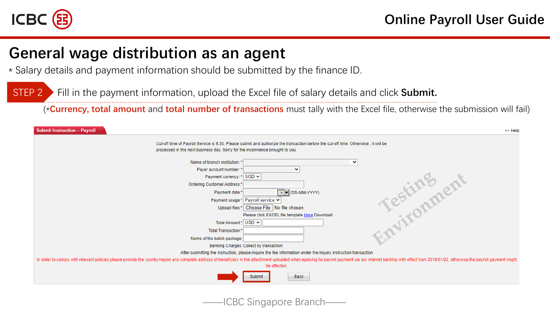

\* Salary details and payment information should be submitted by the finance ID.

STEP 2 Fill in the payment information, upload the Excel file of salary details and click **Submit.**

(\***Currency, total amount** and **total number of transactions** must tally with the Excel file, otherwise the submission will fail)

| <b>Submit Instruction - Payroll</b><br>$>>$ Help                                                                                                                                                                               |
|--------------------------------------------------------------------------------------------------------------------------------------------------------------------------------------------------------------------------------|
| Cut-off time of Payroll Service is 6:30. Please submit and authorize the transaction before the cut-off time. Otherwise, it will be<br>processed in the next business day. Sorry for the inconvience brought to you.           |
| Name of branch institution: *<br>$\check{ }$                                                                                                                                                                                   |
| Payer account number: *<br>◡                                                                                                                                                                                                   |
| Payment currency: * SGD ↓                                                                                                                                                                                                      |
| Ordering Customer Address:*                                                                                                                                                                                                    |
| Testino <sub>ren</sub><br>$\boxed{\bullet}$ $\bullet$ (DD-MM-YYYY)<br>Payment date:*                                                                                                                                           |
| Payment usage:* Payroll service v                                                                                                                                                                                              |
| Upload files:* Choose File   No file chosen                                                                                                                                                                                    |
| Please click EXCEL file template Here Download                                                                                                                                                                                 |
| Total Amount:* USD V                                                                                                                                                                                                           |
| <b>Total Transaction:*</b>                                                                                                                                                                                                     |
| Name of the batch package:                                                                                                                                                                                                     |
| Banking Charges: Collect by transaction                                                                                                                                                                                        |
| After submitting the instruction, please inquire the fee information under the inquiry instruction transaction                                                                                                                 |
| In order to comply with relevant policies,please provide the country/region and complete address of beneficiary in the attachment uploaded when applying for payroll payment via our internet banking with effect from 2019/01 |
| be affected.                                                                                                                                                                                                                   |
| Back                                                                                                                                                                                                                           |

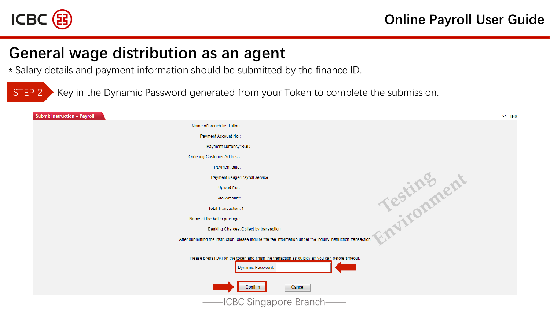

| STEP 2<br>Key in the Dynamic Password generated from your Token to complete the submission.                    |           |
|----------------------------------------------------------------------------------------------------------------|-----------|
| <b>Submit Instruction - Payroll</b>                                                                            | $>>$ Help |
| Name of branch institution:                                                                                    |           |
| Payment Account No.:                                                                                           |           |
| Payment currency: SGD                                                                                          |           |
| Ordering Customer Address:                                                                                     |           |
| Payment date:                                                                                                  |           |
| Payment usage: Payroll service<br>Testing<br>Testing<br>C.nvironment                                           |           |
| Upload files:                                                                                                  |           |
| <b>Total Amount:</b>                                                                                           |           |
| <b>Total Transaction: 1</b>                                                                                    |           |
| Name of the batch package:                                                                                     |           |
| Banking Charges: Collect by transaction                                                                        |           |
| After submitting the instruction, please inquire the fee information under the inquiry instruction transaction |           |
|                                                                                                                |           |
| Please press [OK] on the token and finish the tranaction as quickly as you can before timeout.                 |           |
| Dynamic Password:                                                                                              |           |
| Cancel                                                                                                         |           |
| -ICBC Singapore Branch-                                                                                        |           |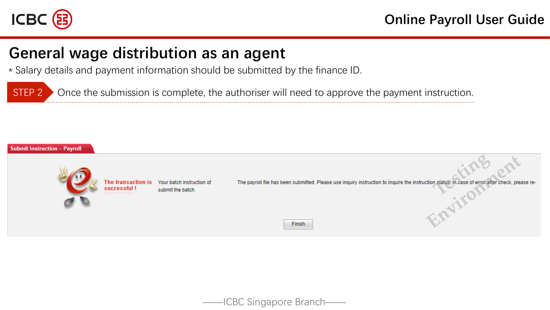



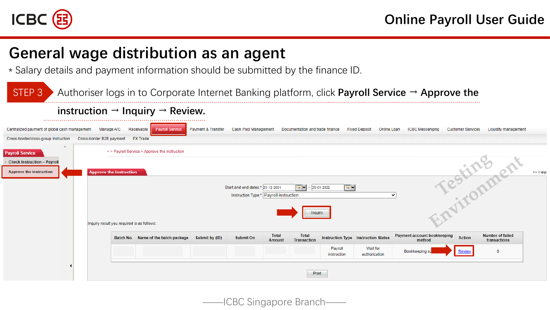

| STEP 3                                        |                          |                                            |                                                         |                    |                                                                            |                        |                                    |                        |                                     | Authoriser logs in to Corporate Internet Banking platform, click <b>Payroll Service</b> $\rightarrow$ Approve the |                          |                                         |  |
|-----------------------------------------------|--------------------------|--------------------------------------------|---------------------------------------------------------|--------------------|----------------------------------------------------------------------------|------------------------|------------------------------------|------------------------|-------------------------------------|-------------------------------------------------------------------------------------------------------------------|--------------------------|-----------------------------------------|--|
|                                               |                          |                                            | instruction $\rightarrow$ Inquiry $\rightarrow$ Review. |                    |                                                                            |                        |                                    |                        |                                     |                                                                                                                   |                          |                                         |  |
| Centralized payment of global cash management | Manage A/C               |                                            | Receivable<br><b>Payroll Service</b>                    | Payment & Transfer | Cash Pool Management                                                       |                        | Documentation and trade finance    |                        | <b>Fixed Deposit</b><br>Online Loan | <b>ICBC Messenging</b>                                                                                            | <b>Customer Services</b> | Liquidity management                    |  |
| Cross-border/cross-group instruction          | Cross-border B2B payment |                                            | <b>FX Trade</b>                                         |                    |                                                                            |                        |                                    |                        |                                     |                                                                                                                   |                          |                                         |  |
| <b>Payroll Service</b>                        |                          |                                            | >> Payroll Service > Approve the instruction            |                    |                                                                            |                        |                                    |                        |                                     |                                                                                                                   |                          |                                         |  |
| <b>Check Instruction - Payroll</b>            |                          |                                            |                                                         |                    |                                                                            |                        |                                    |                        |                                     |                                                                                                                   |                          |                                         |  |
| Approve the instruction                       |                          | <b>Approve the instruction</b>             |                                                         |                    |                                                                            |                        |                                    |                        |                                     |                                                                                                                   |                          |                                         |  |
|                                               |                          | Inquiry result you required is as follows: |                                                         |                    | Start and end dates:* 25-12-2021<br>Instruction Type:* Payroll instruction |                        | ञे∗<br>$-25-01-2022$               | ு∣▼                    |                                     | Testing ent.<br>$\check{ }$                                                                                       |                          |                                         |  |
|                                               |                          |                                            | Batch No. Name of the batch package                     | Submit by (ID)     | <b>Submit On</b>                                                           | <b>Total</b><br>Amount | <b>Total</b><br><b>Transaction</b> |                        | Instruction Type Instruction Status | Payment account bookkeeping<br>method                                                                             | <b>Action</b>            | <b>Number of failed</b><br>transactions |  |
|                                               |                          |                                            |                                                         |                    |                                                                            |                        |                                    | Payroll<br>instruction | Wait for<br>authorization           | Bookkeeping su                                                                                                    |                          | $\mathbf{0}$                            |  |
|                                               |                          |                                            |                                                         |                    |                                                                            |                        | Print                              |                        |                                     |                                                                                                                   |                          |                                         |  |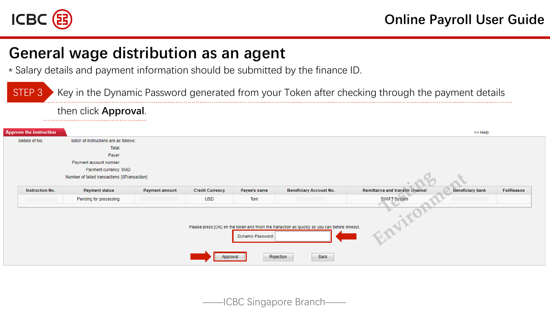

\* Salary details and payment information should be submitted by the finance ID.

Key in the Dynamic Password generated from your Token after checking through the payment details STEP 3

then click **Approval**.

| <b>Approve the instruction</b> |                                               |                |                        |                   |                                                                                                |                                 | >> Help                 |            |
|--------------------------------|-----------------------------------------------|----------------|------------------------|-------------------|------------------------------------------------------------------------------------------------|---------------------------------|-------------------------|------------|
| Details of No.                 | batch of instructions are as follows:         |                |                        |                   |                                                                                                |                                 |                         |            |
|                                | Total:                                        |                |                        |                   |                                                                                                |                                 |                         |            |
|                                | Payer:                                        |                |                        |                   |                                                                                                |                                 |                         |            |
|                                | Payment account number:                       |                |                        |                   |                                                                                                |                                 |                         |            |
|                                | Payment currency: SGD                         |                |                        |                   |                                                                                                |                                 |                         |            |
|                                | Number of failed transactions: [OTransaction] |                |                        |                   |                                                                                                |                                 |                         |            |
| <b>Instruction No.</b>         | <b>Payment status</b>                         | Payment amount | <b>Credit Currency</b> | Payee's name      | <b>Beneficiary Account No.</b>                                                                 | Remittance and transfer channel | <b>Beneficiary bank</b> | FailReason |
|                                | Pending for processing                        |                | <b>USD</b>             | Tom               | the control of the control of                                                                  | SWIFT System                    |                         |            |
|                                |                                               |                |                        | Dynamic Password: | Please press [OK] on the token and finish the tranaction as quickly as you can before timeout. |                                 |                         |            |
|                                |                                               |                | Approval               |                   | Rejection<br>Back                                                                              |                                 |                         |            |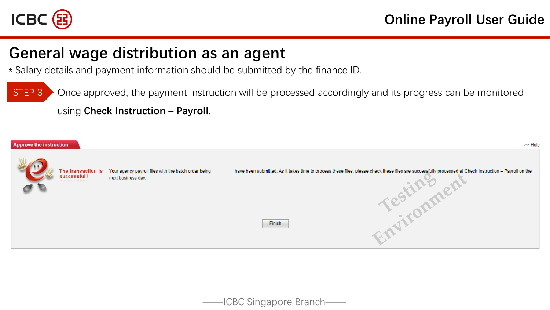

\* Salary details and payment information should be submitted by the finance ID.



using **Check Instruction – Payroll.**



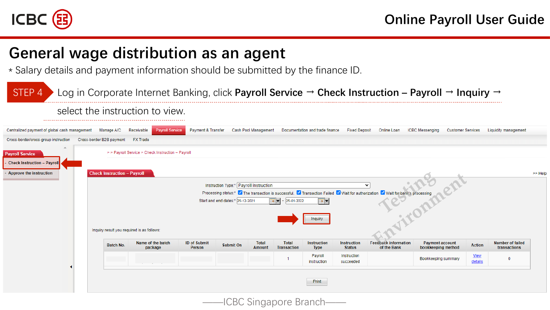

\* Salary details and payment information should be submitted by the finance ID.

| STEP 4                                                                                  |                                            |                                                         |                     |                                        |                      |                                        |                                       |                                           |                                                                                                                                 | Log in Corporate Internet Banking, click Payroll Service $\rightarrow$ Check Instruction - Payroll $\rightarrow$ Inquiry $\rightarrow$ |                                         |                              |      |
|-----------------------------------------------------------------------------------------|--------------------------------------------|---------------------------------------------------------|---------------------|----------------------------------------|----------------------|----------------------------------------|---------------------------------------|-------------------------------------------|---------------------------------------------------------------------------------------------------------------------------------|----------------------------------------------------------------------------------------------------------------------------------------|-----------------------------------------|------------------------------|------|
|                                                                                         |                                            | select the instruction to view.                         |                     |                                        |                      |                                        |                                       |                                           |                                                                                                                                 |                                                                                                                                        |                                         |                              |      |
| Centralized payment of global cash management<br>Cross-border/cross-group instruction   | Manage A/C<br>Cross-border B2B payment     | Receivable<br><b>Payroll Service</b><br><b>FX Trade</b> | Payment & Transfer  |                                        | Cash Pool Management |                                        | Documentation and trade finance       | <b>Fixed Deposit</b>                      | Online Loan                                                                                                                     | <b>ICBC</b> Messenging<br><b>Customer Services</b>                                                                                     |                                         | Liquidity management         |      |
| <b>Payroll Service</b><br><b>Check Instruction - Payroll</b><br>Approve the instruction | <b>Check Instruction - Payroll</b>         | >> Payroll Service > Check Instruction - Payroll        |                     | Instruction Type:* Payroll instruction |                      |                                        |                                       |                                           | Processing status:* √ The transaction is successful. √ Transaction Failed √ Wait for authorization √ Wait for bank's processing |                                                                                                                                        |                                         |                              | >> H |
|                                                                                         | Inquiry result you required is as follows: | Name of the batch                                       | <b>ID of Submit</b> | Start and end dates:* 25-12-2021       | <b>Total</b>         | $-25-01-2022$<br>⊸ l≂l<br><b>Total</b> | <b>Instruction</b>                    | Instruction                               | Chank's processing<br><b>Feedback information</b>                                                                               | <b>Payment account</b>                                                                                                                 |                                         | <b>Number of failed</b>      |      |
|                                                                                         | Batch No.                                  | package                                                 | Person              | Submit On                              | Amount               | <b>Transaction</b>                     | <b>Type</b><br>Payroll<br>instruction | <b>Status</b><br>Instruction<br>succeeded | of the Bank                                                                                                                     | bookkeeping method<br>Bookkeeping summary                                                                                              | <b>Action</b><br><u>View</u><br>details | transactions<br>$\mathbf{0}$ |      |
|                                                                                         |                                            |                                                         |                     |                                        |                      |                                        | Print                                 |                                           |                                                                                                                                 |                                                                                                                                        |                                         |                              |      |

-ICBC Singapore Branch-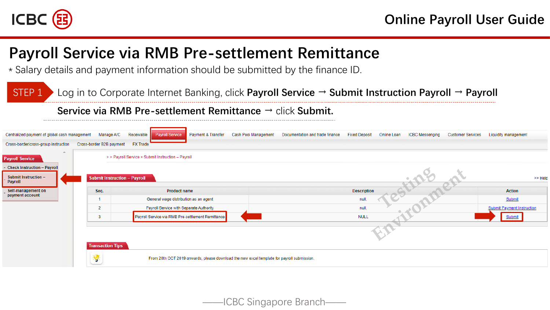

#### **Payroll Service via RMB Pre-settlement Remittance**

\* Salary details and payment information should be submitted by the finance ID.

|  | STEP 1 > Log in to Corporate Internet Banking, click Payroll Service $\rightarrow$ Submit Instruction Payroll $\rightarrow$ Payroll |
|--|-------------------------------------------------------------------------------------------------------------------------------------|
|  |                                                                                                                                     |

#### **Service via RMB Pre-settlement Remittance →** click **Submit.**

| Centralized payment of global cash management | Manage A/C               |                                     | Receivable      | <b>Payroll Service</b>                            | Payment & Transfer                                | Cash Pool Management                                                                       | Documentation and trade finance | Fixed Deposit      | Online Loan | ICBC Messenging | <b>Customer Services</b> | Liquidity management              |           |
|-----------------------------------------------|--------------------------|-------------------------------------|-----------------|---------------------------------------------------|---------------------------------------------------|--------------------------------------------------------------------------------------------|---------------------------------|--------------------|-------------|-----------------|--------------------------|-----------------------------------|-----------|
| Cross-border/cross-group instruction          | Cross-border B2B payment |                                     | <b>FX Trade</b> |                                                   |                                                   |                                                                                            |                                 |                    |             |                 |                          |                                   |           |
| <b>Payroll Service</b>                        |                          |                                     |                 | >> Payroll Service > Submit Instruction - Payroll |                                                   |                                                                                            |                                 |                    |             |                 |                          |                                   |           |
| <b>Check Instruction - Payroll</b>            |                          |                                     |                 |                                                   |                                                   |                                                                                            |                                 |                    |             |                 |                          |                                   |           |
| Submit Instruction -<br>Payroll               |                          | <b>Submit Instruction - Payroll</b> |                 |                                                   |                                                   |                                                                                            |                                 |                    |             |                 |                          |                                   | $>>$ Help |
| Self-management on                            | Seq.                     |                                     |                 | <b>Product name</b>                               |                                                   |                                                                                            |                                 | <b>Description</b> |             |                 |                          | <b>Action</b>                     |           |
| payment account                               |                          |                                     |                 |                                                   | General wage distribution as an agent             |                                                                                            |                                 | null.              |             |                 |                          | Submit                            |           |
|                                               | 2                        |                                     |                 |                                                   | Payroll Service with Separate Authority           |                                                                                            |                                 | null.              |             |                 |                          | <b>Submit Payment Instruction</b> |           |
|                                               |                          |                                     |                 |                                                   | Payroll Service via RMB Pre-settlement Remittance |                                                                                            |                                 | <b>NULL</b>        |             |                 |                          | Submit                            |           |
|                                               |                          |                                     |                 |                                                   |                                                   |                                                                                            |                                 |                    |             |                 |                          |                                   |           |
|                                               |                          |                                     |                 |                                                   |                                                   |                                                                                            |                                 |                    |             |                 |                          |                                   |           |
|                                               | <b>Transaction Tips</b>  |                                     |                 |                                                   |                                                   |                                                                                            |                                 |                    |             |                 |                          |                                   |           |
|                                               | $\mathbf{v}$             |                                     |                 |                                                   |                                                   | From 20th OCT 2019 onwards, please download the new excel template for payroll submission. |                                 |                    |             |                 |                          |                                   |           |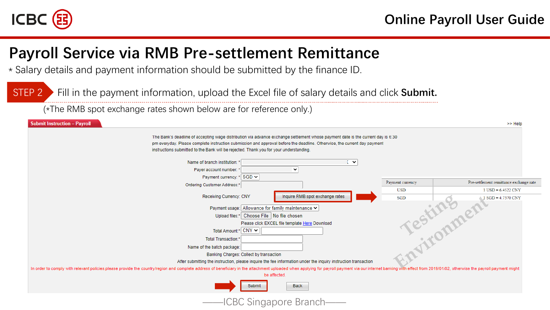

#### **Payroll Service via RMB Pre-settlement Remittance**

|                                     | (*The RMB spot exchange rates shown below are for reference only.)                                                                                                                                                             |                                         |                                                                                                                |        |                  |                                         |
|-------------------------------------|--------------------------------------------------------------------------------------------------------------------------------------------------------------------------------------------------------------------------------|-----------------------------------------|----------------------------------------------------------------------------------------------------------------|--------|------------------|-----------------------------------------|
| <b>Submit Instruction - Payroll</b> |                                                                                                                                                                                                                                |                                         |                                                                                                                |        |                  | $\gg$ Help                              |
|                                     | The Bank's deadline of accepting wage distribution via advance exchange settlement whose payment date is the current day is 6:30                                                                                               |                                         |                                                                                                                |        |                  |                                         |
|                                     | pm everyday. Please complete instruction submission and approval before the deadline. Otherwise, the current day payment                                                                                                       |                                         |                                                                                                                |        |                  |                                         |
|                                     | instructions submitted to the Bank will be rejected. Thank you for your understanding.                                                                                                                                         |                                         |                                                                                                                |        |                  |                                         |
|                                     | Name of branch institution: *                                                                                                                                                                                                  |                                         |                                                                                                                | $\sim$ |                  |                                         |
|                                     | Payer account number: *                                                                                                                                                                                                        |                                         | $\check{ }$                                                                                                    |        |                  |                                         |
|                                     | Payment currency: * SGD ↓                                                                                                                                                                                                      |                                         |                                                                                                                |        |                  |                                         |
|                                     | Ordering Customer Address:*                                                                                                                                                                                                    |                                         |                                                                                                                |        | Payment currency | Pre-settlement remittance exchange rate |
|                                     |                                                                                                                                                                                                                                |                                         |                                                                                                                |        | <b>USD</b>       | $1$ USD = 6.4522 CNY                    |
|                                     | Receiving Currency: CNY                                                                                                                                                                                                        |                                         | Inquire RMB spot exchange rates                                                                                |        |                  | $\triangle$ 1 SGD = 4.7370 CNY          |
|                                     |                                                                                                                                                                                                                                |                                         | Payment usage: Allowance for family maintenance ↓                                                              |        |                  |                                         |
|                                     |                                                                                                                                                                                                                                |                                         | Upload files:* Choose File   No file chosen                                                                    |        |                  | Testing ent                             |
|                                     |                                                                                                                                                                                                                                |                                         | Please click EXCEL file template Here Download                                                                 |        |                  |                                         |
|                                     |                                                                                                                                                                                                                                | Total Amount:* CNY V                    |                                                                                                                |        |                  |                                         |
|                                     | <b>Total Transaction:*</b>                                                                                                                                                                                                     |                                         |                                                                                                                |        |                  |                                         |
|                                     | Name of the batch package:                                                                                                                                                                                                     |                                         |                                                                                                                |        |                  |                                         |
|                                     |                                                                                                                                                                                                                                | Banking Charges: Collect by transaction |                                                                                                                |        |                  |                                         |
|                                     |                                                                                                                                                                                                                                |                                         | After submitting the instruction, please inquire the fee information under the inquiry instruction transaction |        |                  |                                         |
|                                     | In order to comply with relevant policies, please provide the country/region and complete address of beneficiary in the attachment uploaded when applying for payroll payment via our internet banking with effect from 2019/0 |                                         |                                                                                                                |        |                  |                                         |
|                                     |                                                                                                                                                                                                                                |                                         | be affected.                                                                                                   |        |                  |                                         |
|                                     |                                                                                                                                                                                                                                |                                         |                                                                                                                |        |                  |                                         |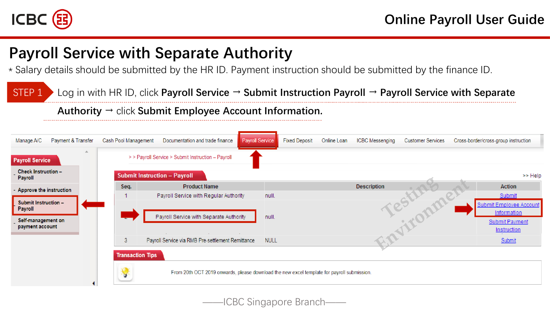

### **Payroll Service with Separate Authority**

\* Salary details should be submitted by the HR ID. Payment instruction should be submitted by the finance ID.



——ICBC Singapore Branch——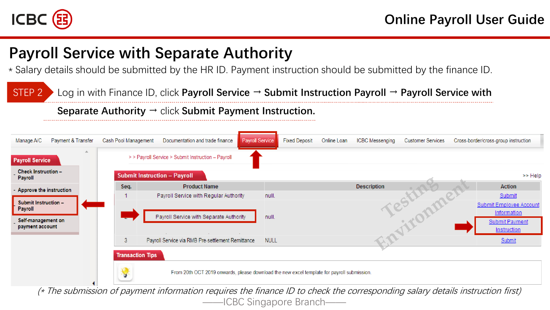

### **Payroll Service with Separate Authority**

\* Salary details should be submitted by the HR ID. Payment instruction should be submitted by the finance ID.



**Separate Authority →** click **Submit Payment Instruction.**



——ICBC Singapore Branch—— (\* The submission of payment information requires the finance ID to check the corresponding salary details instruction first)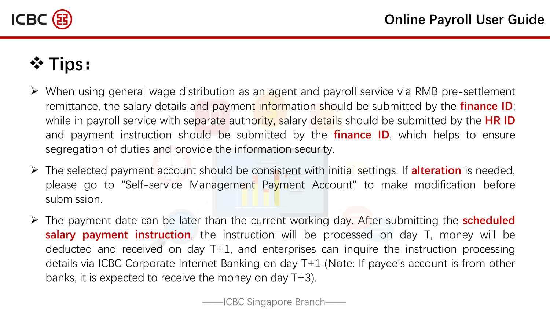

### ❖ **Tips:**

- ➢ When using general wage distribution as an agent and payroll service via RMB pre-settlement remittance, the salary details and payment information should be submitted by the **finance ID**; while in payroll service with separate authority, salary details should be submitted by the **HR ID** and payment instruction should be submitted by the **finance ID**, which helps to ensure segregation of duties and provide the information security.
- ➢ The selected payment account should be consistent with initial settings. If **alteration** is needed, please go to "Self-service Management Payment Account" to make modification before submission.
- ➢ The payment date can be later than the current working day. After submitting the **scheduled salary payment instruction**, the instruction will be processed on day T, money will be deducted and received on day T+1, and enterprises can inquire the instruction processing details via ICBC Corporate Internet Banking on day T+1 (Note: If payee's account is from other banks, it is expected to receive the money on day T+3).